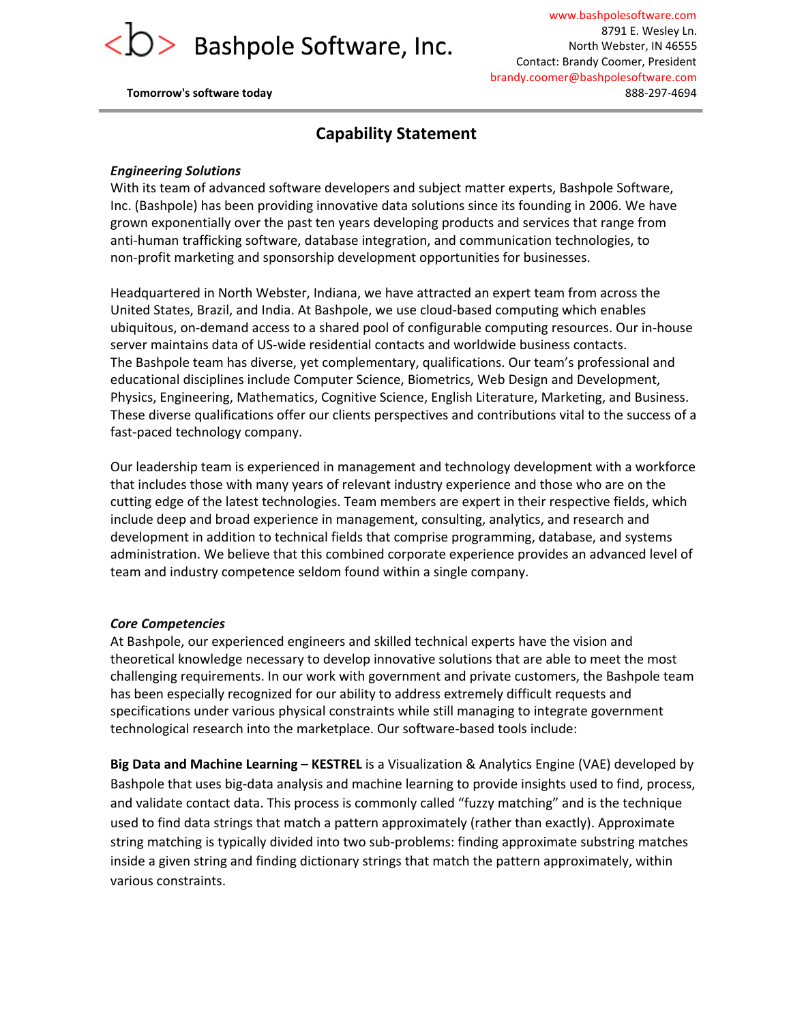

www.bashpolesoftware.com 8791 E. Wesley Ln. North Webster, IN 46555 Contact: Brandy Coomer, President brandy.coomer@bashpolesoftware.com **Tomorrow's software today** 888-297-4694

## **Capability Statement**

#### *Engineering Solutions*

With its team of advanced software developers and subject matter experts, Bashpole Software, Inc. (Bashpole) has been providing innovative data solutions since its founding in 2006. We have grown exponentially over the past ten years developing products and services that range from anti-human trafficking software, database integration, and communication technologies, to non-profit marketing and sponsorship development opportunities for businesses.

Headquartered in North Webster, Indiana, we have attracted an expert team from across the United States, Brazil, and India. At Bashpole, we use cloud-based computing which enables ubiquitous, on-demand access to a shared pool of configurable computing resources. Our in-house server maintains data of US-wide residential contacts and worldwide business contacts. The Bashpole team has diverse, yet complementary, qualifications. Our team's professional and educational disciplines include Computer Science, Biometrics, Web Design and Development, Physics, Engineering, Mathematics, Cognitive Science, English Literature, Marketing, and Business. These diverse qualifications offer our clients perspectives and contributions vital to the success of a fast-paced technology company.

Our leadership team is experienced in management and technology development with a workforce that includes those with many years of relevant industry experience and those who are on the cutting edge of the latest technologies. Team members are expert in their respective fields, which include deep and broad experience in management, consulting, analytics, and research and development in addition to technical fields that comprise programming, database, and systems administration. We believe that this combined corporate experience provides an advanced level of team and industry competence seldom found within a single company.

#### *Core Competencies*

At Bashpole, our experienced engineers and skilled technical experts have the vision and theoretical knowledge necessary to develop innovative solutions that are able to meet the most challenging requirements. In our work with government and private customers, the Bashpole team has been especially recognized for our ability to address extremely difficult requests and specifications under various physical constraints while still managing to integrate government technological research into the marketplace. Our software-based tools include:

**Big Data and Machine Learning – KESTREL**is a Visualization & Analytics Engine (VAE) developed by Bashpole that uses big-data analysis and machine learning to provide insights used to find, process, and validate contact data. This process is commonly called "fuzzy matching" and is the technique used to find data strings that match a pattern approximately (rather than exactly). Approximate string matching is typically divided into two sub-problems: finding approximate substring matches inside a given string and finding dictionary strings that match the pattern approximately, within various constraints.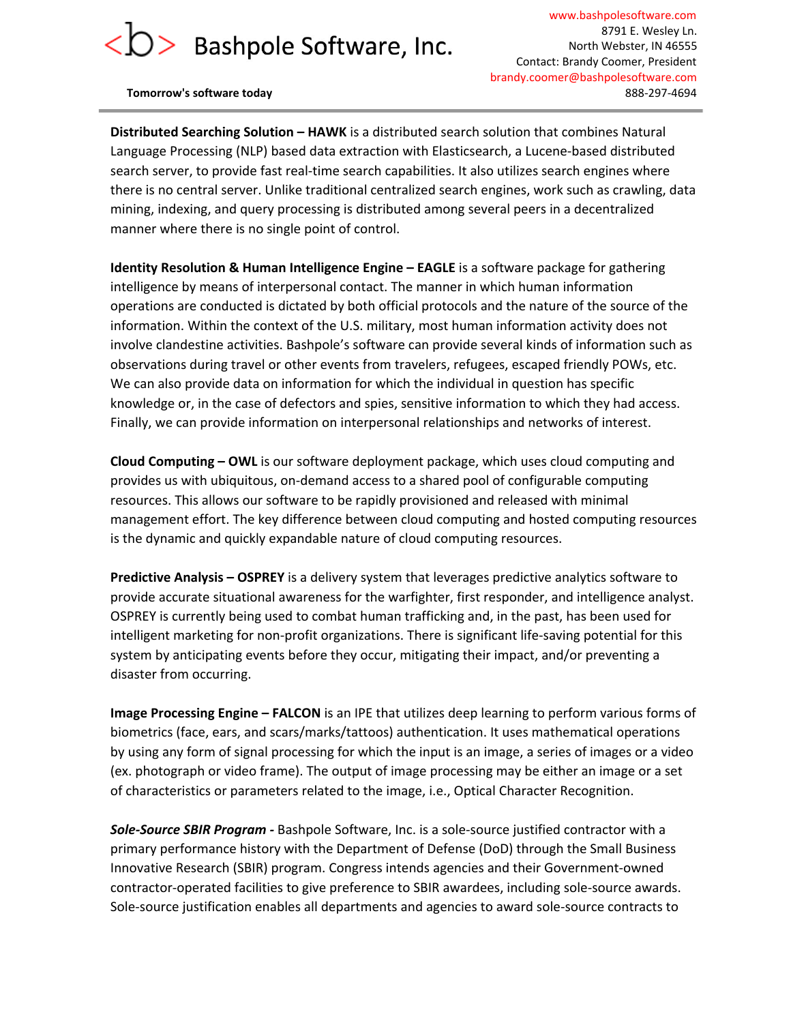www.bashpolesoftware.com 8791 E. Wesley Ln. North Webster, IN 46555 Contact: Brandy Coomer, President brandy.coomer@bashpolesoftware.com **Tomorrow's software today** 888-1974694

**Distributed Searching Solution – HAWK**is a distributed search solution that combines Natural Language Processing (NLP) based data extraction with Elasticsearch, a Lucene-based distributed search server, to provide fast real-time search capabilities. It also utilizes search engines where there is no central server. Unlike traditional centralized search engines, work such as crawling, data mining, indexing, and query processing is distributed among several peers in a decentralized manner where there is no single point of control.

**Identity Resolution & Human Intelligence Engine – EAGLE**is a software package for gathering intelligence by means of interpersonal contact. The manner in which human information operations are conducted is dictated by both official protocols and the nature of the source of the information. Within the context of the U.S. military, most human information activity does not involve clandestine activities. Bashpole's software can provide several kinds of information such as observations during travel or other events from travelers, refugees, escaped friendly POWs, etc. We can also provide data on information for which the individual in question has specific knowledge or, in the case of defectors and spies, sensitive information to which they had access. Finally, we can provide information on interpersonal relationships and networks of interest.

**Cloud Computing – OWL**is our software deployment package, which uses cloud computing and provides us with ubiquitous, on-demand access to a shared pool of configurable computing resources. This allows our software to be rapidly provisioned and released with minimal management effort. The key difference between cloud computing and hosted computing resources is the dynamic and quickly expandable nature of cloud computing resources.

**Predictive Analysis – OSPREY**is a delivery system that leverages predictive analytics software to provide accurate situational awareness for the warfighter, first responder, and intelligence analyst. OSPREY is currently being used to combat human trafficking and, in the past, has been used for intelligent marketing for non-profit organizations. There is significant life-saving potential for this system by anticipating events before they occur, mitigating their impact, and/or preventing a disaster from occurring.

**Image Processing Engine – FALCON**is an IPE that utilizes deep learning to perform various forms of biometrics (face, ears, and scars/marks/tattoos) authentication. It uses mathematical operations by using any form of signal processing for which the input is an image, a series of images or a video (ex. photograph or video frame). The output of image processing may be either an image or a set of characteristics or parameters related to the image, i.e., Optical Character Recognition.

**Sole-Source SBIR Program** - Bashpole Software, Inc. is a sole-source justified contractor with a primary performance history with the Department of Defense (DoD) through the Small Business Innovative Research (SBIR) program. Congress intends agencies and their Government-owned contractor-operated facilities to give preference to SBIR awardees, including sole-source awards. Sole-source justification enables all departments and agencies to award sole-source contracts to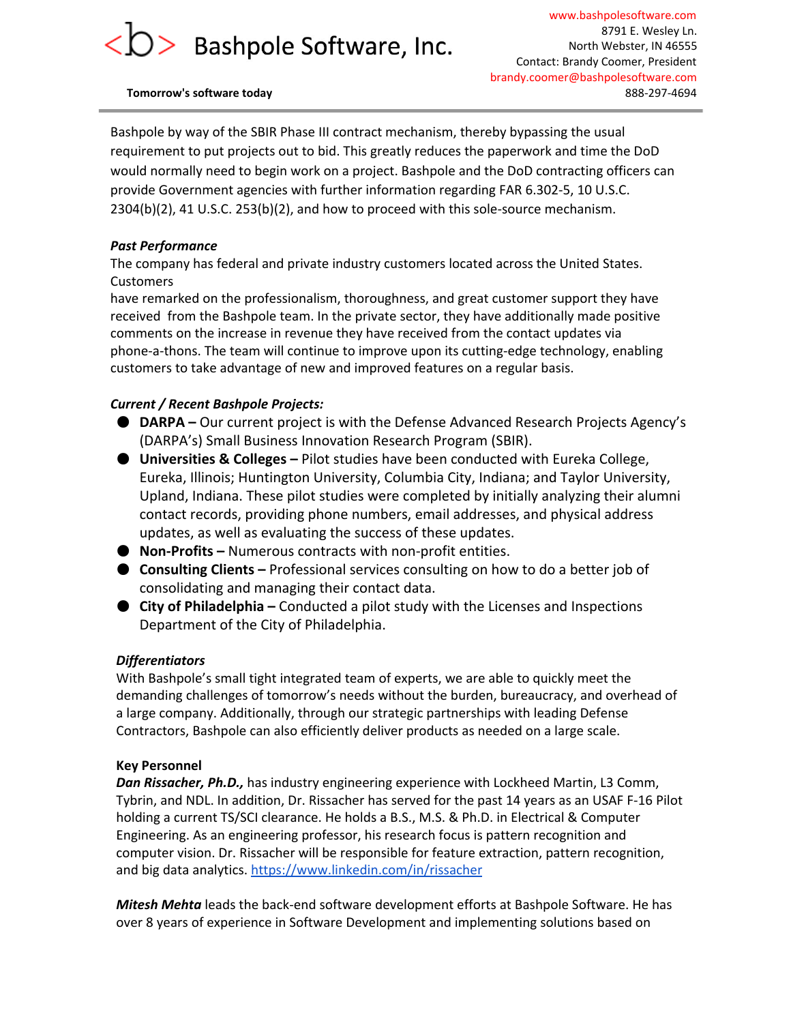Bashpole by way of the SBIR Phase III contract mechanism, thereby bypassing the usual requirement to put projects out to bid. This greatly reduces the paperwork and time the DoD would normally need to begin work on a project. Bashpole and the DoD contracting officers can provide Government agencies with further information regarding FAR 6.302-5, 10 U.S.C.  $2304(b)(2)$ , 41 U.S.C.  $253(b)(2)$ , and how to proceed with this sole-source mechanism.

### *Past Performance*

The company has federal and private industry customers located across the United States. **Customers** 

have remarked on the professionalism, thoroughness, and great customer support they have received from the Bashpole team. In the private sector, they have additionally made positive comments on the increase in revenue they have received from the contact updates via phone-a-thons. The team will continue to improve upon its cutting-edge technology, enabling customers to take advantage of new and improved features on a regular basis.

## *Current / Recent Bashpole Projects:*

- **DARPA –** Our current project is with the Defense Advanced Research Projects Agency's (DARPA's) Small Business Innovation Research Program (SBIR).
- **Universities & Colleges –** Pilot studies have been conducted with Eureka College, Eureka, Illinois; Huntington University, Columbia City, Indiana; and Taylor University, Upland, Indiana. These pilot studies were completed by initially analyzing their alumni contact records, providing phone numbers, email addresses, and physical address updates, as well as evaluating the success of these updates.
- **Non-Profits** Numerous contracts with non-profit entities.
- **Consulting Clients –** Professional services consulting on how to do a better job of consolidating and managing their contact data.
- **City of Philadelphia –** Conducted a pilot study with the Licenses and Inspections Department of the City of Philadelphia.

### *Differentiators*

With Bashpole's small tight integrated team of experts, we are able to quickly meet the demanding challenges of tomorrow's needs without the burden, bureaucracy, and overhead of a large company. Additionally, through our strategic partnerships with leading Defense Contractors, Bashpole can also efficiently deliver products as needed on a large scale.

### **Key Personnel**

*Dan Rissacher, Ph.D.,* has industry engineering experience with Lockheed Martin, L3 Comm, Tybrin, and NDL. In addition, Dr. Rissacher has served for the past 14 years as an USAF F16 Pilot holding a current TS/SCI clearance. He holds a B.S., M.S. & Ph.D. in Electrical & Computer Engineering. As an engineering professor, his research focus is pattern recognition and computer vision. Dr. Rissacher will be responsible for feature extraction, pattern recognition, and big data analytics. <https://www.linkedin.com/in/rissacher>

*Mitesh Mehta* leads the back-end software development efforts at Bashpole Software. He has over 8 years of experience in Software Development and implementing solutions based on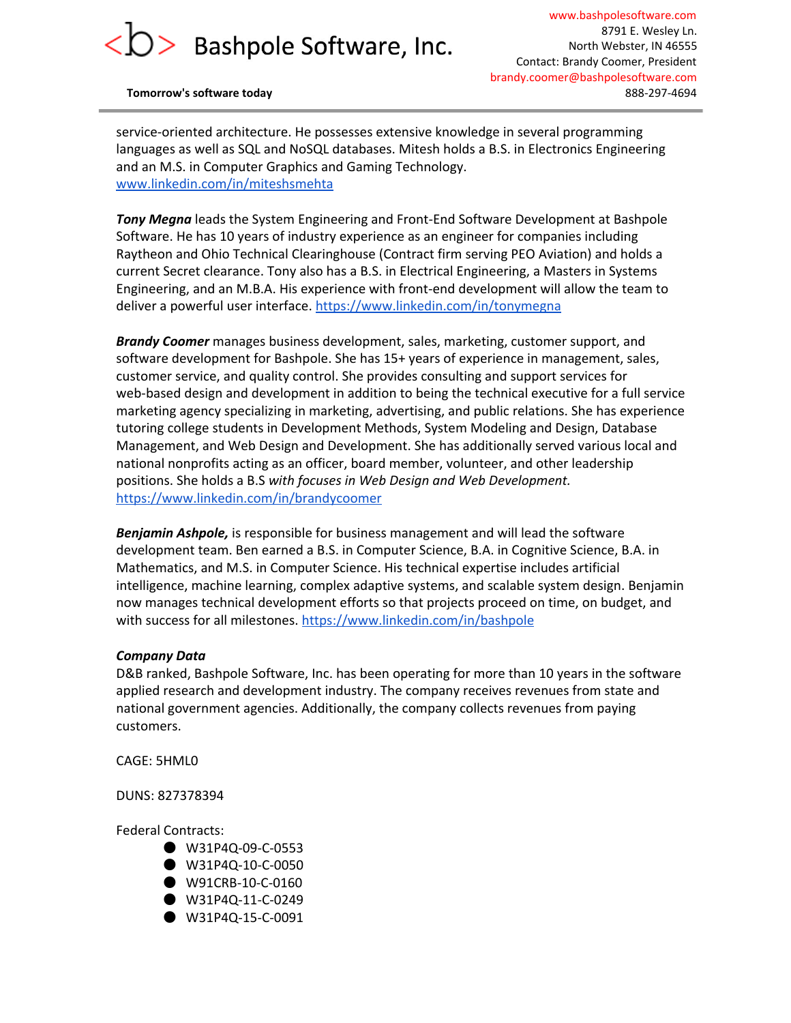www.bashpolesoftware.com 8791 E. Wesley Ln. North Webster, IN 46555 Contact: Brandy Coomer, President brandy.coomer@bashpolesoftware.com **Tomorrow's software today** 888-1974694

service-oriented architecture. He possesses extensive knowledge in several programming languages as well as SQL and NoSQL databases. Mitesh holds a B.S. in Electronics Engineering and an M.S. in Computer Graphics and Gaming Technology. [www.linkedin.com/in/miteshsmehta](http://www.linkedin.com/in/miteshsmehta)

**Tony Megna** leads the System Engineering and Front-End Software Development at Bashpole Software. He has 10 years of industry experience as an engineer for companies including Raytheon and Ohio Technical Clearinghouse (Contract firm serving PEO Aviation) and holds a current Secret clearance. Tony also has a B.S. in Electrical Engineering, a Masters in Systems Engineering, and an M.B.A. His experience with front-end development will allow the team to deliver a powerful user interface. <https://www.linkedin.com/in/tonymegna>

*Brandy Coomer* manages business development, sales, marketing, customer support, and software development for Bashpole. She has 15+ years of experience in management, sales, customer service, and quality control. She provides consulting and support services for web-based design and development in addition to being the technical executive for a full service marketing agency specializing in marketing, advertising, and public relations. She has experience tutoring college students in Development Methods, System Modeling and Design, Database Management, and Web Design and Development. She has additionally served various local and national nonprofits acting as an officer, board member, volunteer, and other leadership positions. She holds a B.S *with focuses in Web Design and Web Development.* <https://www.linkedin.com/in/brandycoomer>

*Benjamin Ashpole,* is responsible for business management and will lead the software development team. Ben earned a B.S. in Computer Science, B.A. in Cognitive Science, B.A. in Mathematics, and M.S. in Computer Science. His technical expertise includes artificial intelligence, machine learning, complex adaptive systems, and scalable system design. Benjamin now manages technical development efforts so that projects proceed on time, on budget, and with success for all milestones. <https://www.linkedin.com/in/bashpole>

#### *Company Data*

D&B ranked, Bashpole Software, Inc. has been operating for more than 10 years in the software applied research and development industry. The company receives revenues from state and national government agencies. Additionally, the company collects revenues from paying customers.

CAGE: 5HML0

DUNS: 827378394

Federal Contracts:

- $\bullet$  W31P4Q-09-C-0553
- $\bullet$  W31P4Q-10-C-0050
- $\bullet$  W91CRB-10-C-0160
- $\bullet$  W31P4Q-11-C-0249
- $\bullet$  W31P4Q-15-C-0091